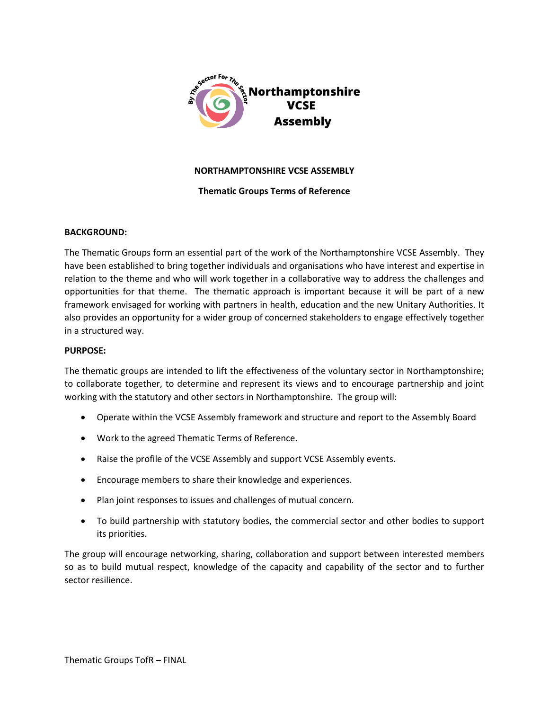

### **NORTHAMPTONSHIRE VCSE ASSEMBLY**

# **Thematic Groups Terms of Reference**

# **BACKGROUND:**

The Thematic Groups form an essential part of the work of the Northamptonshire VCSE Assembly. They have been established to bring together individuals and organisations who have interest and expertise in relation to the theme and who will work together in a collaborative way to address the challenges and opportunities for that theme. The thematic approach is important because it will be part of a new framework envisaged for working with partners in health, education and the new Unitary Authorities. It also provides an opportunity for a wider group of concerned stakeholders to engage effectively together in a structured way.

# **PURPOSE:**

The thematic groups are intended to lift the effectiveness of the voluntary sector in Northamptonshire; to collaborate together, to determine and represent its views and to encourage partnership and joint working with the statutory and other sectors in Northamptonshire. The group will:

- Operate within the VCSE Assembly framework and structure and report to the Assembly Board
- Work to the agreed Thematic Terms of Reference.
- Raise the profile of the VCSE Assembly and support VCSE Assembly events.
- Encourage members to share their knowledge and experiences.
- Plan joint responses to issues and challenges of mutual concern.
- To build partnership with statutory bodies, the commercial sector and other bodies to support its priorities.

The group will encourage networking, sharing, collaboration and support between interested members so as to build mutual respect, knowledge of the capacity and capability of the sector and to further sector resilience.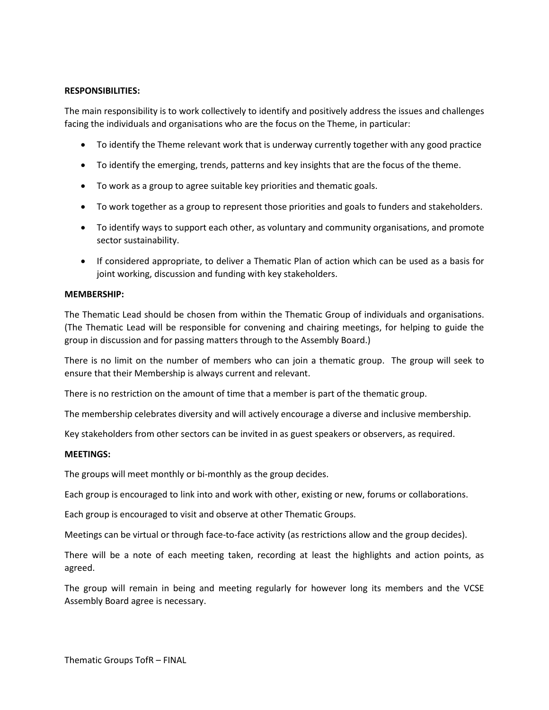# **RESPONSIBILITIES:**

The main responsibility is to work collectively to identify and positively address the issues and challenges facing the individuals and organisations who are the focus on the Theme, in particular:

- To identify the Theme relevant work that is underway currently together with any good practice
- To identify the emerging, trends, patterns and key insights that are the focus of the theme.
- To work as a group to agree suitable key priorities and thematic goals.
- To work together as a group to represent those priorities and goals to funders and stakeholders.
- To identify ways to support each other, as voluntary and community organisations, and promote sector sustainability.
- If considered appropriate, to deliver a Thematic Plan of action which can be used as a basis for joint working, discussion and funding with key stakeholders.

### **MEMBERSHIP:**

The Thematic Lead should be chosen from within the Thematic Group of individuals and organisations. (The Thematic Lead will be responsible for convening and chairing meetings, for helping to guide the group in discussion and for passing matters through to the Assembly Board.)

There is no limit on the number of members who can join a thematic group. The group will seek to ensure that their Membership is always current and relevant.

There is no restriction on the amount of time that a member is part of the thematic group.

The membership celebrates diversity and will actively encourage a diverse and inclusive membership.

Key stakeholders from other sectors can be invited in as guest speakers or observers, as required.

### **MEETINGS:**

The groups will meet monthly or bi-monthly as the group decides.

Each group is encouraged to link into and work with other, existing or new, forums or collaborations.

Each group is encouraged to visit and observe at other Thematic Groups.

Meetings can be virtual or through face-to-face activity (as restrictions allow and the group decides).

There will be a note of each meeting taken, recording at least the highlights and action points, as agreed.

The group will remain in being and meeting regularly for however long its members and the VCSE Assembly Board agree is necessary.